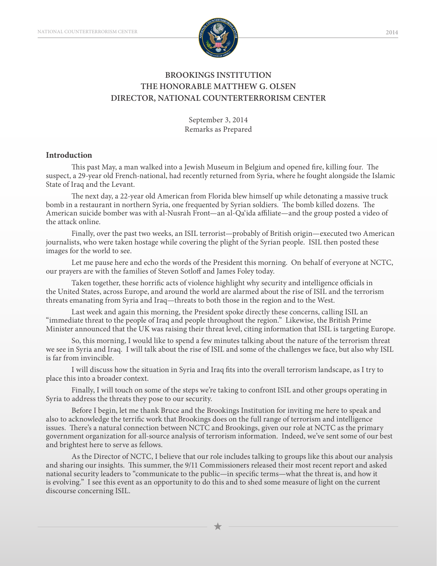

# **BROOKINGS INSTITUTION THE HONORABLE MATTHEW G. OLSEN DIRECTOR, NATIONAL COUNTERTERRORISM CENTER**

September 3, 2014 Remarks as Prepared

### **Introduction**

This past May, a man walked into a Jewish Museum in Belgium and opened fire, killing four. The suspect, a 29-year old French-national, had recently returned from Syria, where he fought alongside the Islamic State of Iraq and the Levant.

The next day, a 22-year old American from Florida blew himself up while detonating a massive truck bomb in a restaurant in northern Syria, one frequented by Syrian soldiers. The bomb killed dozens. The American suicide bomber was with al-Nusrah Front—an al-Qa'ida affiliate—and the group posted a video of the attack online.

Finally, over the past two weeks, an ISIL terrorist—probably of British origin—executed two American journalists, who were taken hostage while covering the plight of the Syrian people. ISIL then posted these images for the world to see.

Let me pause here and echo the words of the President this morning. On behalf of everyone at NCTC, our prayers are with the families of Steven Sotloff and James Foley today.

Taken together, these horrific acts of violence highlight why security and intelligence officials in the United States, across Europe, and around the world are alarmed about the rise of ISIL and the terrorism threats emanating from Syria and Iraq—threats to both those in the region and to the West.

Last week and again this morning, the President spoke directly these concerns, calling ISIL an "immediate threat to the people of Iraq and people throughout the region." Likewise, the British Prime Minister announced that the UK was raising their threat level, citing information that ISIL is targeting Europe.

So, this morning, I would like to spend a few minutes talking about the nature of the terrorism threat we see in Syria and Iraq. I will talk about the rise of ISIL and some of the challenges we face, but also why ISIL is far from invincible.

I will discuss how the situation in Syria and Iraq fits into the overall terrorism landscape, as I try to place this into a broader context.

Finally, I will touch on some of the steps we're taking to confront ISIL and other groups operating in Syria to address the threats they pose to our security.

Before I begin, let me thank Bruce and the Brookings Institution for inviting me here to speak and also to acknowledge the terrific work that Brookings does on the full range of terrorism and intelligence issues. There's a natural connection between NCTC and Brookings, given our role at NCTC as the primary government organization for all-source analysis of terrorism information. Indeed, we've sent some of our best and brightest here to serve as fellows.

As the Director of NCTC, I believe that our role includes talking to groups like this about our analysis and sharing our insights. This summer, the 9/11 Commissioners released their most recent report and asked national security leaders to "communicate to the public—in specific terms—what the threat is, and how it is evolving." I see this event as an opportunity to do this and to shed some measure of light on the current discourse concerning ISIL.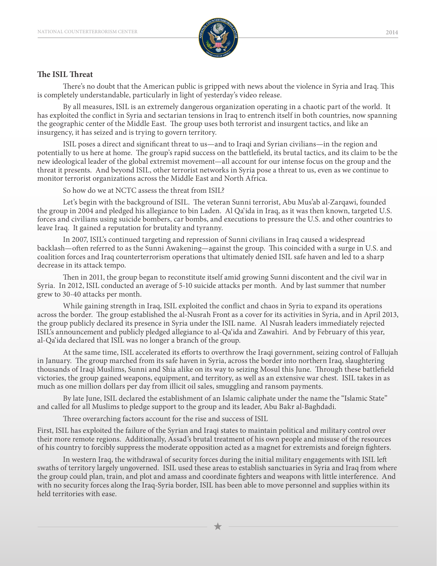

# **The ISIL Threat**

There's no doubt that the American public is gripped with news about the violence in Syria and Iraq. This is completely understandable, particularly in light of yesterday's video release.

By all measures, ISIL is an extremely dangerous organization operating in a chaotic part of the world. It has exploited the conflict in Syria and sectarian tensions in Iraq to entrench itself in both countries, now spanning the geographic center of the Middle East. The group uses both terrorist and insurgent tactics, and like an insurgency, it has seized and is trying to govern territory.

ISIL poses a direct and significant threat to us—and to Iraqi and Syrian civilians—in the region and potentially to us here at home. The group's rapid success on the battlefield, its brutal tactics, and its claim to be the new ideological leader of the global extremist movement—all account for our intense focus on the group and the threat it presents. And beyond ISIL, other terrorist networks in Syria pose a threat to us, even as we continue to monitor terrorist organizations across the Middle East and North Africa.

So how do we at NCTC assess the threat from ISIL?

Let's begin with the background of ISIL. The veteran Sunni terrorist, Abu Mus'ab al-Zarqawi, founded the group in 2004 and pledged his allegiance to bin Laden. Al Qa'ida in Iraq, as it was then known, targeted U.S. forces and civilians using suicide bombers, car bombs, and executions to pressure the U.S. and other countries to leave Iraq. It gained a reputation for brutality and tyranny.

In 2007, ISIL's continued targeting and repression of Sunni civilians in Iraq caused a widespread backlash—often referred to as the Sunni Awakening—against the group. This coincided with a surge in U.S. and coalition forces and Iraq counterterrorism operations that ultimately denied ISIL safe haven and led to a sharp decrease in its attack tempo.

Then in 2011, the group began to reconstitute itself amid growing Sunni discontent and the civil war in Syria. In 2012, ISIL conducted an average of 5-10 suicide attacks per month. And by last summer that number grew to 30-40 attacks per month.

While gaining strength in Iraq, ISIL exploited the conflict and chaos in Syria to expand its operations across the border. The group established the al-Nusrah Front as a cover for its activities in Syria, and in April 2013, the group publicly declared its presence in Syria under the ISIL name. Al Nusrah leaders immediately rejected ISIL's announcement and publicly pledged allegiance to al-Qa'ida and Zawahiri. And by February of this year, al-Qa'ida declared that ISIL was no longer a branch of the group.

At the same time, ISIL accelerated its efforts to overthrow the Iraqi government, seizing control of Fallujah in January. The group marched from its safe haven in Syria, across the border into northern Iraq, slaughtering thousands of Iraqi Muslims, Sunni and Shia alike on its way to seizing Mosul this June. Through these battlefield victories, the group gained weapons, equipment, and territory, as well as an extensive war chest. ISIL takes in as much as one million dollars per day from illicit oil sales, smuggling and ransom payments.

By late June, ISIL declared the establishment of an Islamic caliphate under the name the "Islamic State" and called for all Muslims to pledge support to the group and its leader, Abu Bakr al-Baghdadi.

Three overarching factors account for the rise and success of ISIL

First, ISIL has exploited the failure of the Syrian and Iraqi states to maintain political and military control over their more remote regions. Additionally, Assad's brutal treatment of his own people and misuse of the resources of his country to forcibly suppress the moderate opposition acted as a magnet for extremists and foreign fighters.

In western Iraq, the withdrawal of security forces during the initial military engagements with ISIL left swaths of territory largely ungoverned. ISIL used these areas to establish sanctuaries in Syria and Iraq from where the group could plan, train, and plot and amass and coordinate fighters and weapons with little interference. And with no security forces along the Iraq-Syria border, ISIL has been able to move personnel and supplies within its held territories with ease.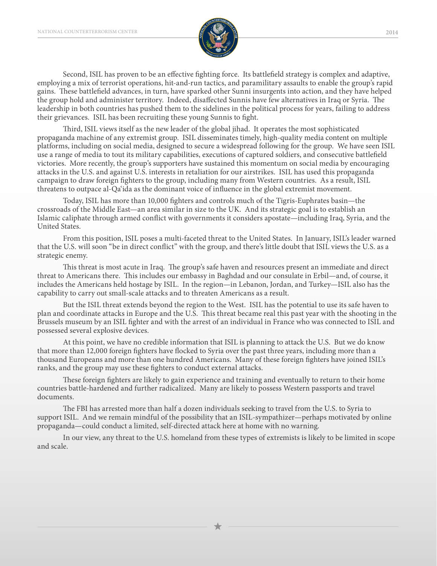

Second, ISIL has proven to be an effective fighting force. Its battlefield strategy is complex and adaptive, employing a mix of terrorist operations, hit-and-run tactics, and paramilitary assaults to enable the group's rapid gains. These battlefield advances, in turn, have sparked other Sunni insurgents into action, and they have helped the group hold and administer territory. Indeed, disaffected Sunnis have few alternatives in Iraq or Syria. The leadership in both countries has pushed them to the sidelines in the political process for years, failing to address their grievances. ISIL has been recruiting these young Sunnis to fight.

Third, ISIL views itself as the new leader of the global jihad. It operates the most sophisticated propaganda machine of any extremist group. ISIL disseminates timely, high-quality media content on multiple platforms, including on social media, designed to secure a widespread following for the group. We have seen ISIL use a range of media to tout its military capabilities, executions of captured soldiers, and consecutive battlefield victories. More recently, the group's supporters have sustained this momentum on social media by encouraging attacks in the U.S. and against U.S. interests in retaliation for our airstrikes. ISIL has used this propaganda campaign to draw foreign fighters to the group, including many from Western countries. As a result, ISIL threatens to outpace al-Qa'ida as the dominant voice of influence in the global extremist movement.

Today, ISIL has more than 10,000 fighters and controls much of the Tigris-Euphrates basin—the crossroads of the Middle East—an area similar in size to the UK. And its strategic goal is to establish an Islamic caliphate through armed conflict with governments it considers apostate—including Iraq, Syria, and the United States.

From this position, ISIL poses a multi-faceted threat to the United States. In January, ISIL's leader warned that the U.S. will soon "be in direct conflict" with the group, and there's little doubt that ISIL views the U.S. as a strategic enemy.

This threat is most acute in Iraq. The group's safe haven and resources present an immediate and direct threat to Americans there. This includes our embassy in Baghdad and our consulate in Erbil—and, of course, it includes the Americans held hostage by ISIL. In the region—in Lebanon, Jordan, and Turkey—ISIL also has the capability to carry out small-scale attacks and to threaten Americans as a result.

But the ISIL threat extends beyond the region to the West. ISIL has the potential to use its safe haven to plan and coordinate attacks in Europe and the U.S. This threat became real this past year with the shooting in the Brussels museum by an ISIL fighter and with the arrest of an individual in France who was connected to ISIL and possessed several explosive devices.

At this point, we have no credible information that ISIL is planning to attack the U.S. But we do know that more than 12,000 foreign fighters have flocked to Syria over the past three years, including more than a thousand Europeans and more than one hundred Americans. Many of these foreign fighters have joined ISIL's ranks, and the group may use these fighters to conduct external attacks.

These foreign fighters are likely to gain experience and training and eventually to return to their home countries battle-hardened and further radicalized. Many are likely to possess Western passports and travel documents.

The FBI has arrested more than half a dozen individuals seeking to travel from the U.S. to Syria to support ISIL. And we remain mindful of the possibility that an ISIL-sympathizer—perhaps motivated by online propaganda—could conduct a limited, self-directed attack here at home with no warning.

In our view, any threat to the U.S. homeland from these types of extremists is likely to be limited in scope and scale.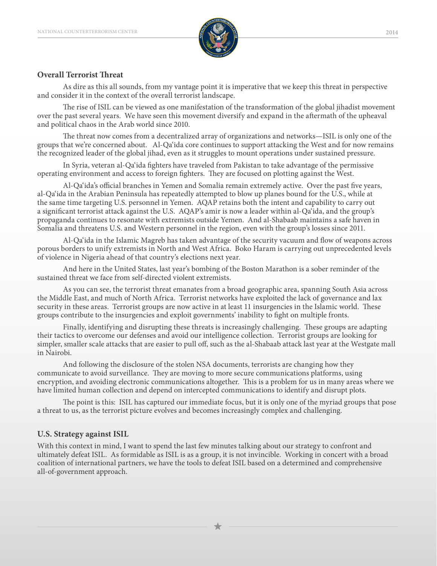

## **Overall Terrorist Threat**

As dire as this all sounds, from my vantage point it is imperative that we keep this threat in perspective and consider it in the context of the overall terrorist landscape.

The rise of ISIL can be viewed as one manifestation of the transformation of the global jihadist movement over the past several years. We have seen this movement diversify and expand in the aftermath of the upheaval and political chaos in the Arab world since 2010.

The threat now comes from a decentralized array of organizations and networks—ISIL is only one of the groups that we're concerned about. Al-Qa'ida core continues to support attacking the West and for now remains the recognized leader of the global jihad, even as it struggles to mount operations under sustained pressure.

In Syria, veteran al-Qa'ida fighters have traveled from Pakistan to take advantage of the permissive operating environment and access to foreign fighters. They are focused on plotting against the West.

Al-Qa'ida's official branches in Yemen and Somalia remain extremely active. Over the past five years, al-Qa'ida in the Arabian Peninsula has repeatedly attempted to blow up planes bound for the U.S., while at the same time targeting U.S. personnel in Yemen. AQAP retains both the intent and capability to carry out a significant terrorist attack against the U.S. AQAP's amir is now a leader within al-Qa'ida, and the group's propaganda continues to resonate with extremists outside Yemen. And al-Shabaab maintains a safe haven in Somalia and threatens U.S. and Western personnel in the region, even with the group's losses since 2011.

Al-Qa'ida in the Islamic Magreb has taken advantage of the security vacuum and flow of weapons across porous borders to unify extremists in North and West Africa. Boko Haram is carrying out unprecedented levels of violence in Nigeria ahead of that country's elections next year.

And here in the United States, last year's bombing of the Boston Marathon is a sober reminder of the sustained threat we face from self-directed violent extremists.

As you can see, the terrorist threat emanates from a broad geographic area, spanning South Asia across the Middle East, and much of North Africa. Terrorist networks have exploited the lack of governance and lax security in these areas. Terrorist groups are now active in at least 11 insurgencies in the Islamic world. These groups contribute to the insurgencies and exploit governments' inability to fight on multiple fronts.

Finally, identifying and disrupting these threats is increasingly challenging. These groups are adapting their tactics to overcome our defenses and avoid our intelligence collection. Terrorist groups are looking for simpler, smaller scale attacks that are easier to pull off, such as the al-Shabaab attack last year at the Westgate mall in Nairobi.

And following the disclosure of the stolen NSA documents, terrorists are changing how they communicate to avoid surveillance. They are moving to more secure communications platforms, using encryption, and avoiding electronic communications altogether. This is a problem for us in many areas where we have limited human collection and depend on intercepted communications to identify and disrupt plots.

The point is this: ISIL has captured our immediate focus, but it is only one of the myriad groups that pose a threat to us, as the terrorist picture evolves and becomes increasingly complex and challenging.

# **U.S. Strategy against ISIL**

With this context in mind, I want to spend the last few minutes talking about our strategy to confront and ultimately defeat ISIL. As formidable as ISIL is as a group, it is not invincible. Working in concert with a broad coalition of international partners, we have the tools to defeat ISIL based on a determined and comprehensive all-of-government approach.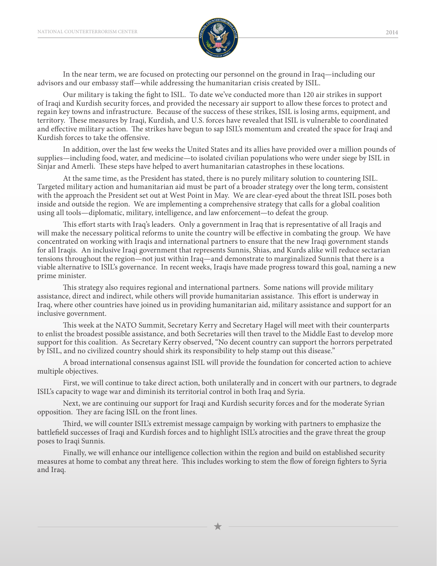

In the near term, we are focused on protecting our personnel on the ground in Iraq—including our advisors and our embassy staff—while addressing the humanitarian crisis created by ISIL.

Our military is taking the fight to ISIL. To date we've conducted more than 120 air strikes in support of Iraqi and Kurdish security forces, and provided the necessary air support to allow these forces to protect and regain key towns and infrastructure. Because of the success of these strikes, ISIL is losing arms, equipment, and territory. These measures by Iraqi, Kurdish, and U.S. forces have revealed that ISIL is vulnerable to coordinated and effective military action. The strikes have begun to sap ISIL's momentum and created the space for Iraqi and Kurdish forces to take the offensive.

In addition, over the last few weeks the United States and its allies have provided over a million pounds of supplies—including food, water, and medicine—to isolated civilian populations who were under siege by ISIL in Sinjar and Amerli. These steps have helped to avert humanitarian catastrophes in these locations.

At the same time, as the President has stated, there is no purely military solution to countering ISIL. Targeted military action and humanitarian aid must be part of a broader strategy over the long term, consistent with the approach the President set out at West Point in May. We are clear-eyed about the threat ISIL poses both inside and outside the region. We are implementing a comprehensive strategy that calls for a global coalition using all tools—diplomatic, military, intelligence, and law enforcement—to defeat the group.

This effort starts with Iraq's leaders. Only a government in Iraq that is representative of all Iraqis and will make the necessary political reforms to unite the country will be effective in combating the group. We have concentrated on working with Iraqis and international partners to ensure that the new Iraqi government stands for all Iraqis. An inclusive Iraqi government that represents Sunnis, Shias, and Kurds alike will reduce sectarian tensions throughout the region—not just within Iraq—and demonstrate to marginalized Sunnis that there is a viable alternative to ISIL's governance. In recent weeks, Iraqis have made progress toward this goal, naming a new prime minister.

This strategy also requires regional and international partners. Some nations will provide military assistance, direct and indirect, while others will provide humanitarian assistance. This effort is underway in Iraq, where other countries have joined us in providing humanitarian aid, military assistance and support for an inclusive government.

This week at the NATO Summit, Secretary Kerry and Secretary Hagel will meet with their counterparts to enlist the broadest possible assistance, and both Secretaries will then travel to the Middle East to develop more support for this coalition. As Secretary Kerry observed, "No decent country can support the horrors perpetrated by ISIL, and no civilized country should shirk its responsibility to help stamp out this disease."

A broad international consensus against ISIL will provide the foundation for concerted action to achieve multiple objectives.

First, we will continue to take direct action, both unilaterally and in concert with our partners, to degrade ISIL's capacity to wage war and diminish its territorial control in both Iraq and Syria.

Next, we are continuing our support for Iraqi and Kurdish security forces and for the moderate Syrian opposition. They are facing ISIL on the front lines.

Third, we will counter ISIL's extremist message campaign by working with partners to emphasize the battlefield successes of Iraqi and Kurdish forces and to highlight ISIL's atrocities and the grave threat the group poses to Iraqi Sunnis.

Finally, we will enhance our intelligence collection within the region and build on established security measures at home to combat any threat here. This includes working to stem the flow of foreign fighters to Syria and Iraq.